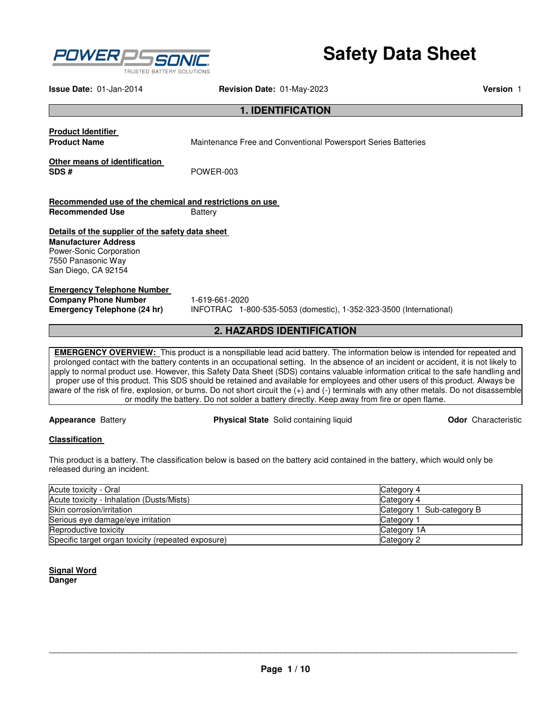

# **Safety Data Sheet**

**Issue Date:** 01-Jan-2014 **Revision Date:** 01-May-2023 **Version** 1

#### **1. IDENTIFICATION**

**Product Identifier** 

**Maintenance Free and Conventional Powersport Series Batteries** 

**Other means of identification SDS #** POWER-003

**Recommended use of the chemical and restrictions on use Recommended Use <b>Battery** 

#### **Details of the supplier of the safety data sheet**

**Manufacturer Address**  Power-Sonic Corporation 7550 Panasonic Way San Diego, CA 92154

**Emergency Telephone Number Company Phone Number** 1-619-661-2020<br> **Emergency Telephone (24 hr)** INFOTRAC 1-8

**Emergency Telephone (24 hr)** INFOTRAC 1-800-535-5053 (domestic), 1-352-323-3500 (International)

#### **2. HAZARDS IDENTIFICATION**

**EMERGENCY OVERVIEW:** This product is a nonspillable lead acid battery. The information below is intended for repeated and prolonged contact with the battery contents in an occupational setting. In the absence of an incident or accident, it is not likely to apply to normal product use. However, this Safety Data Sheet (SDS) contains valuable information critical to the safe handling and proper use of this product. This SDS should be retained and available for employees and other users of this product. Always be aware of the risk of fire, explosion, or burns. Do not short circuit the (+) and (-) terminals with any other metals. Do not disassemble or modify the battery. Do not solder a battery directly. Keep away from fire or open flame.

**Appearance** Battery **Physical State** Solid containing liquid **Odor** Characteristic

#### **Classification**

This product is a battery. The classification below is based on the battery acid contained in the battery, which would only be released during an incident.

| Acute toxicity - Oral                              | Category 4                |
|----------------------------------------------------|---------------------------|
| Acute toxicity - Inhalation (Dusts/Mists)          | Category 4                |
| Skin corrosion/irritation                          | Category 1 Sub-category B |
| Serious eye damage/eye irritation                  | Category                  |
| Reproductive toxicity                              | Category 1A               |
| Specific target organ toxicity (repeated exposure) | Category 2                |

**Signal Word Danger**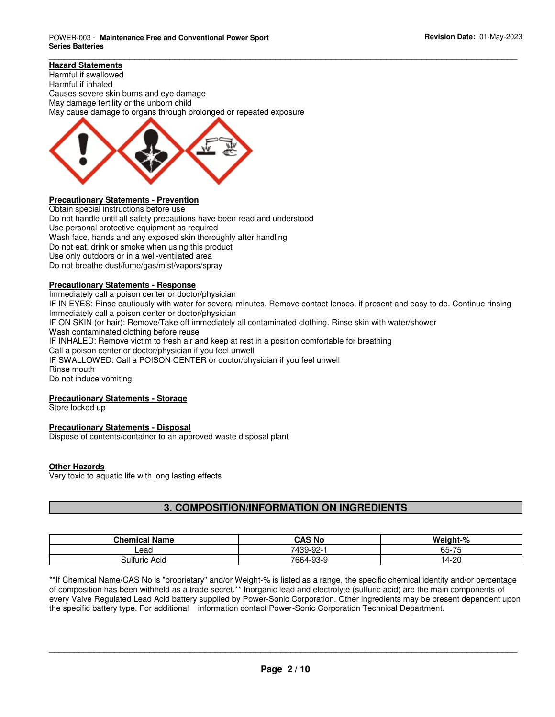#### **Hazard Statements**

Harmful if swallowed Harmful if inhaled Causes severe skin burns and eye damage May damage fertility or the unborn child May cause damage to organs through prolonged or repeated exposure



#### **Precautionary Statements - Prevention**

Obtain special instructions before use Do not handle until all safety precautions have been read and understood Use personal protective equipment as required Wash face, hands and any exposed skin thoroughly after handling Do not eat, drink or smoke when using this product Use only outdoors or in a well-ventilated area Do not breathe dust/fume/gas/mist/vapors/spray

#### **Precautionary Statements - Response**

Immediately call a poison center or doctor/physician IF IN EYES: Rinse cautiously with water for several minutes. Remove contact lenses, if present and easy to do. Continue rinsing Immediately call a poison center or doctor/physician IF ON SKIN (or hair): Remove/Take off immediately all contaminated clothing. Rinse skin with water/shower Wash contaminated clothing before reuse IF INHALED: Remove victim to fresh air and keep at rest in a position comfortable for breathing Call a poison center or doctor/physician if you feel unwell IF SWALLOWED: Call a POISON CENTER or doctor/physician if you feel unwell Rinse mouth Do not induce vomiting

\_\_\_\_\_\_\_\_\_\_\_\_\_\_\_\_\_\_\_\_\_\_\_\_\_\_\_\_\_\_\_\_\_\_\_\_\_\_\_\_\_\_\_\_\_\_\_\_\_\_\_\_\_\_\_\_\_\_\_\_\_\_\_\_\_\_\_\_\_\_\_\_\_\_\_\_\_\_\_\_\_\_\_\_\_\_\_\_\_\_\_\_\_

#### **Precautionary Statements - Storage**

Store locked up

#### **Precautionary Statements - Disposal**

Dispose of contents/container to an approved waste disposal plant

#### **Other Hazards**

Very toxic to aquatic life with long lasting effects

#### **3. COMPOSITION/INFORMATION ON INGREDIENTS**

| <b>Chemical Name</b> | CAS No    | W.<br>01 خماسة<br>:Iani-%             |
|----------------------|-----------|---------------------------------------|
| Lead                 | 7439-92-1 | $-$<br>$\sim$ $\sim$<br>65-<br>$\sim$ |
| Sulfuric<br>Acid     | 7664-93-9 | -20<br>$\overline{4}$                 |

\*\*If Chemical Name/CAS No is "proprietary" and/or Weight-% is listed as a range, the specific chemical identity and/or percentage of composition has been withheld as a trade secret.\*\* Inorganic lead and electrolyte (sulfuric acid) are the main components of every Valve Regulated Lead Acid battery supplied by Power-Sonic Corporation. Other ingredients may be present dependent upon the specific battery type. For additional information contact Power-Sonic Corporation Technical Department.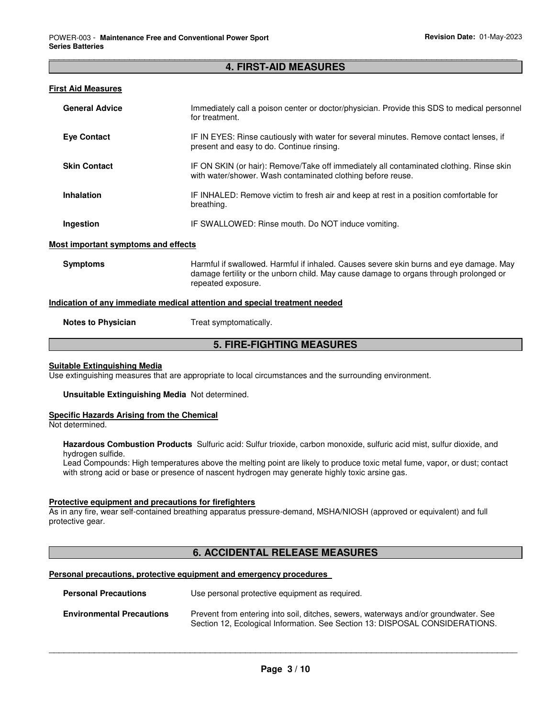#### \_\_\_\_\_\_\_\_\_\_\_\_\_\_\_\_\_\_\_\_\_\_\_\_\_\_\_\_\_\_\_\_\_\_\_\_\_\_\_\_\_\_\_\_\_\_\_\_\_\_\_\_\_\_\_\_\_\_\_\_\_\_\_\_\_\_\_\_\_\_\_\_\_\_\_\_\_\_\_\_\_\_\_\_\_\_\_\_\_\_\_\_\_ **4. FIRST-AID MEASURES**

#### **First Aid Measures**

| <b>General Advice</b> | Immediately call a poison center or doctor/physician. Provide this SDS to medical personnel<br>for treatment.                                          |
|-----------------------|--------------------------------------------------------------------------------------------------------------------------------------------------------|
| <b>Eye Contact</b>    | IF IN EYES: Rinse cautiously with water for several minutes. Remove contact lenses, if<br>present and easy to do. Continue rinsing.                    |
| <b>Skin Contact</b>   | IF ON SKIN (or hair): Remove/Take off immediately all contaminated clothing. Rinse skin<br>with water/shower. Wash contaminated clothing before reuse. |
| Inhalation            | IF INHALED: Remove victim to fresh air and keep at rest in a position comfortable for<br>breathing.                                                    |
| Ingestion             | IF SWALLOWED: Rinse mouth. Do NOT induce vomiting.                                                                                                     |

#### **Most important symptoms and effects**

**Symptoms** Harmful if swallowed. Harmful if inhaled. Causes severe skin burns and eye damage. May damage fertility or the unborn child. May cause damage to organs through prolonged or repeated exposure.

#### **Indication of any immediate medical attention and special treatment needed**

**Notes to Physician Treat symptomatically.** 

#### **5. FIRE-FIGHTING MEASURES**

#### **Suitable Extinguishing Media**

Use extinguishing measures that are appropriate to local circumstances and the surrounding environment.

**Unsuitable Extinguishing Media** Not determined.

#### **Specific Hazards Arising from the Chemical**

Not determined.

**Hazardous Combustion Products** Sulfuric acid: Sulfur trioxide, carbon monoxide, sulfuric acid mist, sulfur dioxide, and hydrogen sulfide.

Lead Compounds: High temperatures above the melting point are likely to produce toxic metal fume, vapor, or dust; contact with strong acid or base or presence of nascent hydrogen may generate highly toxic arsine gas.

#### **Protective equipment and precautions for firefighters**

As in any fire, wear self-contained breathing apparatus pressure-demand, MSHA/NIOSH (approved or equivalent) and full protective gear.

#### **6. ACCIDENTAL RELEASE MEASURES**

#### **Personal precautions, protective equipment and emergency procedures**

| <b>Personal Precautions</b>      | Use personal protective equipment as required.                                                                                                                      |
|----------------------------------|---------------------------------------------------------------------------------------------------------------------------------------------------------------------|
| <b>Environmental Precautions</b> | Prevent from entering into soil, ditches, sewers, waterways and/or groundwater. See<br>Section 12, Ecological Information. See Section 13: DISPOSAL CONSIDERATIONS. |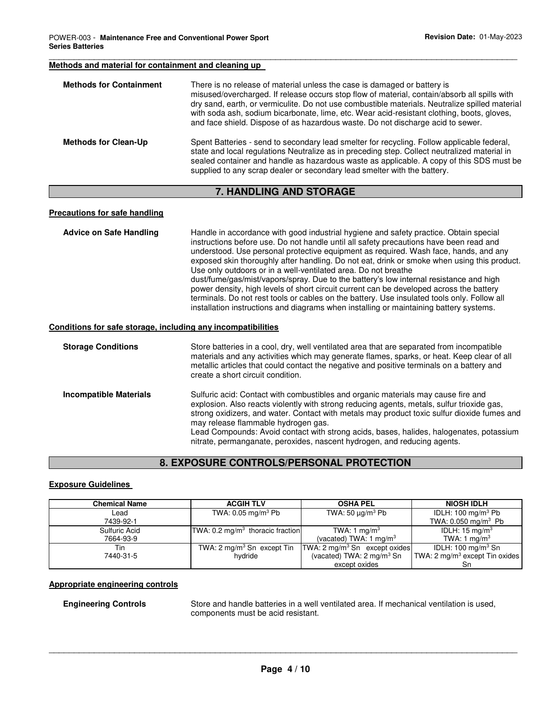#### \_\_\_\_\_\_\_\_\_\_\_\_\_\_\_\_\_\_\_\_\_\_\_\_\_\_\_\_\_\_\_\_\_\_\_\_\_\_\_\_\_\_\_\_\_\_\_\_\_\_\_\_\_\_\_\_\_\_\_\_\_\_\_\_\_\_\_\_\_\_\_\_\_\_\_\_\_\_\_\_\_\_\_\_\_\_\_\_\_\_\_\_\_ **Methods and material for containment and cleaning up**

| <b>Methods for Containment</b> | There is no release of material unless the case is damaged or battery is<br>misused/overcharged. If release occurs stop flow of material, contain/absorb all spills with<br>dry sand, earth, or vermiculite. Do not use combustible materials. Neutralize spilled material<br>with soda ash, sodium bicarbonate, lime, etc. Wear acid-resistant clothing, boots, gloves,<br>and face shield. Dispose of as hazardous waste. Do not discharge acid to sewer. |
|--------------------------------|-------------------------------------------------------------------------------------------------------------------------------------------------------------------------------------------------------------------------------------------------------------------------------------------------------------------------------------------------------------------------------------------------------------------------------------------------------------|
| <b>Methods for Clean-Up</b>    | Spent Batteries - send to secondary lead smelter for recycling. Follow applicable federal,<br>state and local regulations Neutralize as in preceding step. Collect neutralized material in<br>sealed container and handle as hazardous waste as applicable. A copy of this SDS must be<br>supplied to any scrap dealer or secondary lead smelter with the battery.                                                                                          |

#### **7. HANDLING AND STORAGE**

#### **Precautions for safe handling**

| <b>Advice on Safe Handling</b>                               | Handle in accordance with good industrial hygiene and safety practice. Obtain special<br>instructions before use. Do not handle until all safety precautions have been read and<br>understood. Use personal protective equipment as required. Wash face, hands, and any<br>exposed skin thoroughly after handling. Do not eat, drink or smoke when using this product.<br>Use only outdoors or in a well-ventilated area. Do not breathe<br>dust/fume/gas/mist/vapors/spray. Due to the battery's low internal resistance and high<br>power density, high levels of short circuit current can be developed across the battery<br>terminals. Do not rest tools or cables on the battery. Use insulated tools only. Follow all<br>installation instructions and diagrams when installing or maintaining battery systems. |
|--------------------------------------------------------------|------------------------------------------------------------------------------------------------------------------------------------------------------------------------------------------------------------------------------------------------------------------------------------------------------------------------------------------------------------------------------------------------------------------------------------------------------------------------------------------------------------------------------------------------------------------------------------------------------------------------------------------------------------------------------------------------------------------------------------------------------------------------------------------------------------------------|
| Conditions for safe storage, including any incompatibilities |                                                                                                                                                                                                                                                                                                                                                                                                                                                                                                                                                                                                                                                                                                                                                                                                                        |

#### **Storage Conditions** Store batteries in a cool, dry, well ventilated area that are separated from incompatible materials and any activities which may generate flames, sparks, or heat. Keep clear of all metallic articles that could contact the negative and positive terminals on a battery and create a short circuit condition. **Incompatible Materials** Sulfuric acid: Contact with combustibles and organic materials may cause fire and explosion. Also reacts violently with strong reducing agents, metals, sulfur trioxide gas, strong oxidizers, and water. Contact with metals may product toxic sulfur dioxide fumes and may release flammable hydrogen gas.

Lead Compounds: Avoid contact with strong acids, bases, halides, halogenates, potassium nitrate, permanganate, peroxides, nascent hydrogen, and reducing agents.

#### **8. EXPOSURE CONTROLS/PERSONAL PROTECTION**

#### **Exposure Guidelines**

| <b>Chemical Name</b> | <b>ACGIH TLV</b>                            | <b>OSHA PEL</b>                      | <b>NIOSH IDLH</b>                          |
|----------------------|---------------------------------------------|--------------------------------------|--------------------------------------------|
| Lead                 | TWA: $0.05$ mg/m $3$ Pb                     | TWA: 50 $\mu$ g/m <sup>3</sup> Pb    | IDLH: 100 mg/m <sup>3</sup> Pb             |
| 7439-92-1            |                                             |                                      | TWA: $0.050$ mg/m <sup>3</sup> Pb          |
| Sulfuric Acid        | TWA: $0.2 \text{ mg/m}^3$ thoracic fraction | TWA: 1 mg/m <sup>3</sup>             | IDLH: $15 \text{ mg/m}^3$                  |
| 7664-93-9            |                                             | (vacated) TWA: 1 mg/m <sup>3</sup>   | TWA: 1 mg/m <sup>3</sup>                   |
| Tin                  | TWA: $2 \text{ mg/m}^3$ Sn except Tin       | $TWA: 2 mg/m3$ Sn except oxides      | IDLH: $100 \text{ mg/m}^3$ Sn              |
| 7440-31-5            | hvdride                                     | (vacated) TWA: $2 \text{ mg/m}^3$ Sn | TWA: 2 mg/m <sup>3</sup> except Tin oxides |
|                      |                                             | except oxides                        |                                            |

#### **Appropriate engineering controls**

**Engineering Controls** Store and handle batteries in a well ventilated area. If mechanical ventilation is used, components must be acid resistant.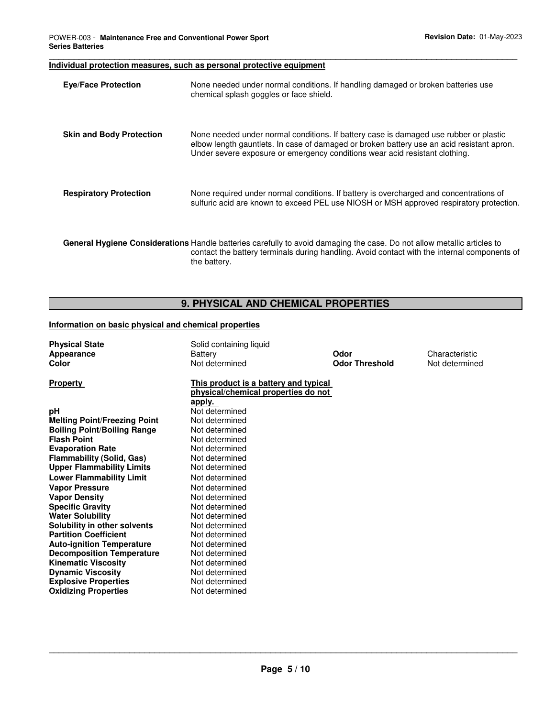#### **Individual protection measures, such as personal protective equipment**

| <b>Eye/Face Protection</b>      | None needed under normal conditions. If handling damaged or broken batteries use<br>chemical splash goggles or face shield.                                                                                                                                       |
|---------------------------------|-------------------------------------------------------------------------------------------------------------------------------------------------------------------------------------------------------------------------------------------------------------------|
| <b>Skin and Body Protection</b> | None needed under normal conditions. If battery case is damaged use rubber or plastic<br>elbow length gauntlets. In case of damaged or broken battery use an acid resistant apron.<br>Under severe exposure or emergency conditions wear acid resistant clothing. |
| <b>Respiratory Protection</b>   | None required under normal conditions. If battery is overcharged and concentrations of<br>sulfuric acid are known to exceed PEL use NIOSH or MSH approved respiratory protection.                                                                                 |
|                                 | <b>General Hygiene Considerations</b> Handle batteries carefully to avoid damaging the case. Do not allow metallic articles to<br>contact the battery terminals during handling. Avoid contact with the internal components of<br>the battery.                    |

\_\_\_\_\_\_\_\_\_\_\_\_\_\_\_\_\_\_\_\_\_\_\_\_\_\_\_\_\_\_\_\_\_\_\_\_\_\_\_\_\_\_\_\_\_\_\_\_\_\_\_\_\_\_\_\_\_\_\_\_\_\_\_\_\_\_\_\_\_\_\_\_\_\_\_\_\_\_\_\_\_\_\_\_\_\_\_\_\_\_\_\_\_

## **9. PHYSICAL AND CHEMICAL PROPERTIES**

#### **Information on basic physical and chemical properties**

| <b>Physical State</b><br>Appearance<br>Color            | Solid containing liquid<br>Battery<br>Not determined                                   | Odor<br><b>Odor Threshold</b> | Characteristic<br>Not determined |
|---------------------------------------------------------|----------------------------------------------------------------------------------------|-------------------------------|----------------------------------|
| <b>Property</b>                                         | This product is a battery and typical<br>physical/chemical properties do not<br>apply. |                               |                                  |
| рH                                                      | Not determined                                                                         |                               |                                  |
| <b>Melting Point/Freezing Point</b>                     | Not determined                                                                         |                               |                                  |
| <b>Boiling Point/Boiling Range</b>                      | Not determined                                                                         |                               |                                  |
| <b>Flash Point</b>                                      | Not determined                                                                         |                               |                                  |
| <b>Evaporation Rate</b>                                 | Not determined                                                                         |                               |                                  |
| <b>Flammability (Solid, Gas)</b>                        | Not determined                                                                         |                               |                                  |
| <b>Upper Flammability Limits</b>                        | Not determined                                                                         |                               |                                  |
| <b>Lower Flammability Limit</b>                         | Not determined                                                                         |                               |                                  |
| <b>Vapor Pressure</b>                                   | Not determined                                                                         |                               |                                  |
| <b>Vapor Density</b>                                    | Not determined                                                                         |                               |                                  |
| <b>Specific Gravity</b>                                 | Not determined                                                                         |                               |                                  |
| <b>Water Solubility</b>                                 | Not determined                                                                         |                               |                                  |
| Solubility in other solvents                            | Not determined                                                                         |                               |                                  |
| <b>Partition Coefficient</b>                            | Not determined                                                                         |                               |                                  |
| <b>Auto-ignition Temperature</b>                        | Not determined                                                                         |                               |                                  |
| <b>Decomposition Temperature</b>                        | Not determined<br>Not determined                                                       |                               |                                  |
| <b>Kinematic Viscosity</b>                              | Not determined                                                                         |                               |                                  |
| <b>Dynamic Viscosity</b><br><b>Explosive Properties</b> | Not determined                                                                         |                               |                                  |
| <b>Oxidizing Properties</b>                             | Not determined                                                                         |                               |                                  |
|                                                         |                                                                                        |                               |                                  |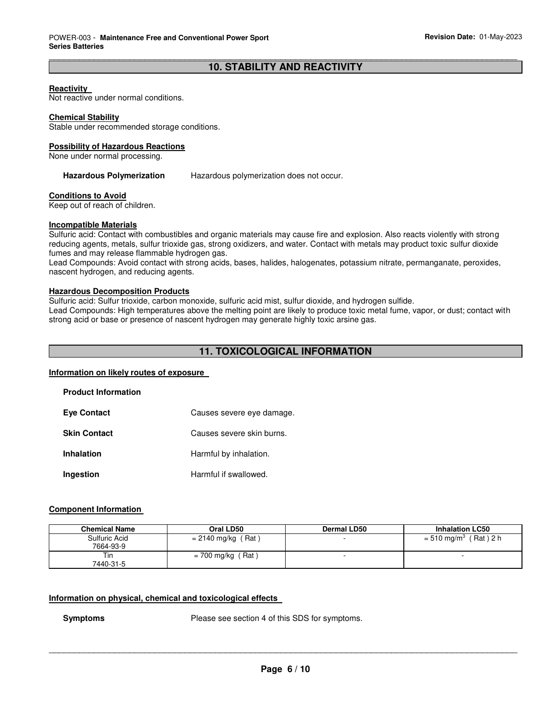#### \_\_\_\_\_\_\_\_\_\_\_\_\_\_\_\_\_\_\_\_\_\_\_\_\_\_\_\_\_\_\_\_\_\_\_\_\_\_\_\_\_\_\_\_\_\_\_\_\_\_\_\_\_\_\_\_\_\_\_\_\_\_\_\_\_\_\_\_\_\_\_\_\_\_\_\_\_\_\_\_\_\_\_\_\_\_\_\_\_\_\_\_\_ **10. STABILITY AND REACTIVITY**

#### **Reactivity**

Not reactive under normal conditions.

#### **Chemical Stability**

Stable under recommended storage conditions.

#### **Possibility of Hazardous Reactions**

None under normal processing.

**Hazardous Polymerization** Hazardous polymerization does not occur.

#### **Conditions to Avoid**

Keep out of reach of children.

#### **Incompatible Materials**

Sulfuric acid: Contact with combustibles and organic materials may cause fire and explosion. Also reacts violently with strong reducing agents, metals, sulfur trioxide gas, strong oxidizers, and water. Contact with metals may product toxic sulfur dioxide fumes and may release flammable hydrogen gas.

Lead Compounds: Avoid contact with strong acids, bases, halides, halogenates, potassium nitrate, permanganate, peroxides, nascent hydrogen, and reducing agents.

#### **Hazardous Decomposition Products**

Sulfuric acid: Sulfur trioxide, carbon monoxide, sulfuric acid mist, sulfur dioxide, and hydrogen sulfide.

Lead Compounds: High temperatures above the melting point are likely to produce toxic metal fume, vapor, or dust; contact with strong acid or base or presence of nascent hydrogen may generate highly toxic arsine gas.

#### **11. TOXICOLOGICAL INFORMATION**

#### **Information on likely routes of exposure**

| <b>Product Information</b> |                           |
|----------------------------|---------------------------|
| <b>Eye Contact</b>         | Causes severe eye damage. |
| <b>Skin Contact</b>        | Causes severe skin burns. |
| Inhalation                 | Harmful by inhalation.    |
| Ingestion                  | Harmful if swallowed.     |

#### **Component Information**

| <b>Chemical Name</b> | Oral LD50            | <b>Dermal LD50</b> | <b>Inhalation LC50</b>              |
|----------------------|----------------------|--------------------|-------------------------------------|
| Sulfuric Acid        | $= 2140$ mg/kg (Rat) |                    | $= 510$ mg/m <sup>3</sup> (Rat) 2 h |
| 7664-93-9            |                      |                    |                                     |
| Tin                  | $= 700$ mg/kg (Rat)  |                    |                                     |
| 7440-31-5            |                      |                    |                                     |

#### **Information on physical, chemical and toxicological effects**

**Symptoms** Please see section 4 of this SDS for symptoms.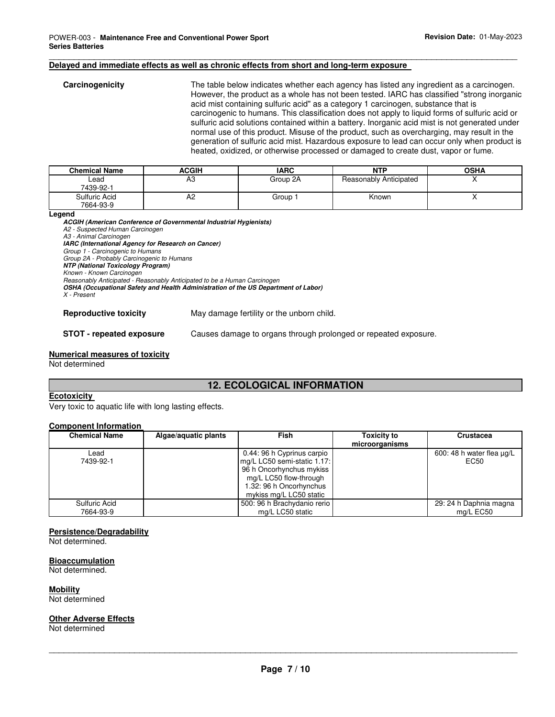#### **Delayed and immediate effects as well as chronic effects from short and long-term exposure**

| Carcinogenicity | The table below indicates whether each agency has listed any ingredient as a carcinogen.<br>However, the product as a whole has not been tested. IARC has classified "strong inorganic                                                                                                                                                                                              |
|-----------------|-------------------------------------------------------------------------------------------------------------------------------------------------------------------------------------------------------------------------------------------------------------------------------------------------------------------------------------------------------------------------------------|
|                 | acid mist containing sulfuric acid" as a category 1 carcinogen, substance that is<br>carcinogenic to humans. This classification does not apply to liquid forms of sulfuric acid or<br>sulfuric acid solutions contained within a battery. Inorganic acid mist is not generated under<br>normal use of this product. Misuse of the product, such as overcharging, may result in the |
|                 | generation of sulfuric acid mist. Hazardous exposure to lead can occur only when product is<br>heated, oxidized, or otherwise processed or damaged to create dust, vapor or fume.                                                                                                                                                                                                   |

\_\_\_\_\_\_\_\_\_\_\_\_\_\_\_\_\_\_\_\_\_\_\_\_\_\_\_\_\_\_\_\_\_\_\_\_\_\_\_\_\_\_\_\_\_\_\_\_\_\_\_\_\_\_\_\_\_\_\_\_\_\_\_\_\_\_\_\_\_\_\_\_\_\_\_\_\_\_\_\_\_\_\_\_\_\_\_\_\_\_\_\_\_

| <b>Chemical Name</b>       | <b>ACGIH</b>   | <b>IARC</b>        | <b>NTP</b>             | <b>OSHA</b> |
|----------------------------|----------------|--------------------|------------------------|-------------|
| ∟ead<br>7439-92-1          | AЗ             | Group 2A           | Reasonably Anticipated |             |
| Sulfuric Acid<br>7664-93-9 | A <sub>2</sub> | Group <sup>-</sup> | Known                  |             |

**Legend** 

**ACGIH (American Conference of Governmental Industrial Hygienists)**

A2 - Suspected Human Carcinogen

A3 - Animal Carcinogen

**IARC (International Agency for Research on Cancer)** 

Group 1 - Carcinogenic to Humans

Group 2A - Probably Carcinogenic to Humans **NTP (National Toxicology Program)** 

Known - Known Carcinogen

Reasonably Anticipated - Reasonably Anticipated to be a Human Carcinogen

**OSHA (Occupational Safety and Health Administration of the US Department of Labor)** 

X - Present

**Reproductive toxicity** May damage fertility or the unborn child.

**STOT - repeated exposure** Causes damage to organs through prolonged or repeated exposure.

#### **Numerical measures of toxicity**

Not determined

### **12. ECOLOGICAL INFORMATION**

#### **Ecotoxicity**

Very toxic to aquatic life with long lasting effects.

#### **Component Information**

| <b>Chemical Name</b> | Algae/aquatic plants | <b>Fish</b>                 | <b>Toxicity to</b><br>microorganisms | Crustacea                 |
|----------------------|----------------------|-----------------------------|--------------------------------------|---------------------------|
| Lead                 |                      | 0.44: 96 h Cyprinus carpio  |                                      | 600: 48 h water flea ug/L |
| 7439-92-1            |                      | mg/L LC50 semi-static 1.17: |                                      | EC50                      |
|                      |                      | 96 h Oncorhynchus mykiss    |                                      |                           |
|                      |                      | mg/L LC50 flow-through      |                                      |                           |
|                      |                      | 1.32: 96 h Oncorhynchus     |                                      |                           |
|                      |                      | mykiss mg/L LC50 static     |                                      |                           |
| Sulfuric Acid        |                      | 500: 96 h Brachydanio rerio |                                      | 29: 24 h Daphnia magna    |
| 7664-93-9            |                      | mg/L LC50 static            |                                      | mg/L EC50                 |

#### **Persistence/Degradability**

Not determined.

#### **Bioaccumulation**

Not determined.

**Mobility** 

Not determined

#### **Other Adverse Effects**

Not determined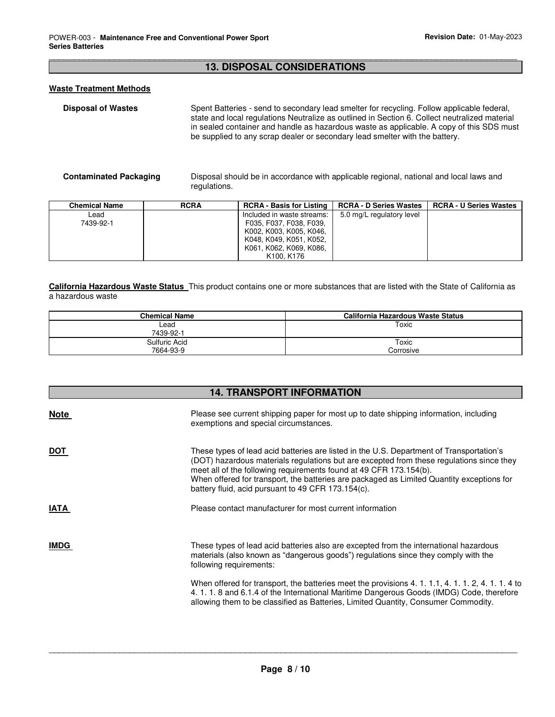#### \_\_\_\_\_\_\_\_\_\_\_\_\_\_\_\_\_\_\_\_\_\_\_\_\_\_\_\_\_\_\_\_\_\_\_\_\_\_\_\_\_\_\_\_\_\_\_\_\_\_\_\_\_\_\_\_\_\_\_\_\_\_\_\_\_\_\_\_\_\_\_\_\_\_\_\_\_\_\_\_\_\_\_\_\_\_\_\_\_\_\_\_\_ **13. DISPOSAL CONSIDERATIONS**

#### **Waste Treatment Methods**

**Disposal of Wastes** Spent Batteries - send to secondary lead smelter for recycling. Follow applicable federal, state and local regulations Neutralize as outlined in Section 6. Collect neutralized material in sealed container and handle as hazardous waste as applicable. A copy of this SDS must be supplied to any scrap dealer or secondary lead smelter with the battery.

**Contaminated Packaging** Disposal should be in accordance with applicable regional, national and local laws and regulations.

| <b>Chemical Name</b> | <b>RCRA</b> | <b>RCRA - Basis for Listing</b>     | <b>RCRA - D Series Wastes</b> | <b>RCRA - U Series Wastes</b> |
|----------------------|-------------|-------------------------------------|-------------------------------|-------------------------------|
| Lead                 |             | Included in waste streams:          | 5.0 mg/L regulatory level     |                               |
| 7439-92-1            |             | F035, F037, F038, F039,             |                               |                               |
|                      |             | K002, K003, K005, K046,             |                               |                               |
|                      |             | K048, K049, K051, K052,             |                               |                               |
|                      |             | K061, K062, K069, K086,             |                               |                               |
|                      |             | K <sub>100</sub> . K <sub>176</sub> |                               |                               |

**California Hazardous Waste Status** This product contains one or more substances that are listed with the State of California as a hazardous waste

| <b>Chemical Name</b> | California Hazardous Waste Status |
|----------------------|-----------------------------------|
| Lead                 | Toxic                             |
| 7439-92-1            |                                   |
| Sulfuric Acid        | Toxic                             |
| 7664-93-9            | Corrosive                         |

| <b>14. TRANSPORT INFORMATION</b> |                                                                                                                                                                                                                                                                                                                                                                                                               |  |  |  |
|----------------------------------|---------------------------------------------------------------------------------------------------------------------------------------------------------------------------------------------------------------------------------------------------------------------------------------------------------------------------------------------------------------------------------------------------------------|--|--|--|
| <b>Note</b>                      | Please see current shipping paper for most up to date shipping information, including<br>exemptions and special circumstances.                                                                                                                                                                                                                                                                                |  |  |  |
| <b>DOT</b>                       | These types of lead acid batteries are listed in the U.S. Department of Transportation's<br>(DOT) hazardous materials regulations but are excepted from these regulations since they<br>meet all of the following requirements found at 49 CFR 173.154(b).<br>When offered for transport, the batteries are packaged as Limited Quantity exceptions for<br>battery fluid, acid pursuant to 49 CFR 173.154(c). |  |  |  |
| <b>IATA</b>                      | Please contact manufacturer for most current information                                                                                                                                                                                                                                                                                                                                                      |  |  |  |
| <b>IMDG</b>                      | These types of lead acid batteries also are excepted from the international hazardous<br>materials (also known as "dangerous goods") regulations since they comply with the<br>following requirements:                                                                                                                                                                                                        |  |  |  |
|                                  | When offered for transport, the batteries meet the provisions 4, 1, 1, 1, 4, 1, 1, 2, 4, 1, 1, 4 to<br>4.1.1.8 and 6.1.4 of the International Maritime Dangerous Goods (IMDG) Code, therefore<br>allowing them to be classified as Batteries, Limited Quantity, Consumer Commodity.                                                                                                                           |  |  |  |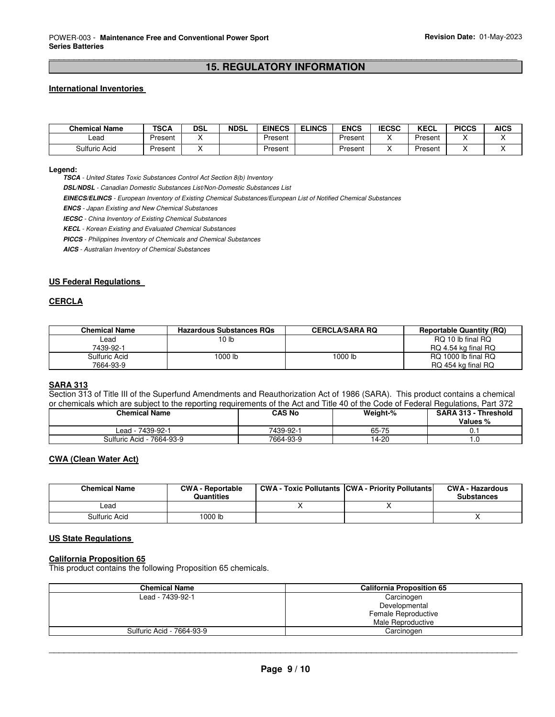#### \_\_\_\_\_\_\_\_\_\_\_\_\_\_\_\_\_\_\_\_\_\_\_\_\_\_\_\_\_\_\_\_\_\_\_\_\_\_\_\_\_\_\_\_\_\_\_\_\_\_\_\_\_\_\_\_\_\_\_\_\_\_\_\_\_\_\_\_\_\_\_\_\_\_\_\_\_\_\_\_\_\_\_\_\_\_\_\_\_\_\_\_\_ **15. REGULATORY INFORMATION**

#### **International Inventories**

| <b>Chemical Name</b> | TSCA    | <b>DSL</b> | <b>NDSL</b> | <b>EINECS</b> | <b>ELINCS</b> | <b>ENCS</b> | <b>IECSC</b> | <b>KECL</b> | <b>PICCS</b> | <b>AICS</b> |
|----------------------|---------|------------|-------------|---------------|---------------|-------------|--------------|-------------|--------------|-------------|
| Lead                 | Present |            |             | Present       |               | Present     |              | Present     |              |             |
| Sulfuric Acid        | Present |            |             | Present       |               | Present     |              | Present     |              |             |

#### **Legend:**

**TSCA** - United States Toxic Substances Control Act Section 8(b) Inventory

**DSL/NDSL** - Canadian Domestic Substances List/Non-Domestic Substances List

**EINECS/ELINCS** - European Inventory of Existing Chemical Substances/European List of Notified Chemical Substances

**ENCS** - Japan Existing and New Chemical Substances

**IECSC** - China Inventory of Existing Chemical Substances

**KECL** - Korean Existing and Evaluated Chemical Substances

**PICCS** - Philippines Inventory of Chemicals and Chemical Substances

**AICS** - Australian Inventory of Chemical Substances

#### **US Federal Regulations**

#### **CERCLA**

| <b>Chemical Name</b> | <b>Hazardous Substances ROs</b> | <b>CERCLA/SARA RQ</b> | <b>Reportable Quantity (RQ)</b> |
|----------------------|---------------------------------|-----------------------|---------------------------------|
| ∟ead                 | 10 <sub>lb</sub>                |                       | RQ 10 lb final RQ               |
| 7439-92-1            |                                 |                       | RQ 4.54 kg final RQ             |
| Sulfuric Acid        | 1000 lb                         | 1000 lb               | RQ 1000 lb final RQ             |
| 7664-93-9            |                                 |                       | RQ 454 kg final RQ              |

#### **SARA 313**

Section 313 of Title III of the Superfund Amendments and Reauthorization Act of 1986 (SARA). This product contains a chemical or chemicals which are subject to the reporting requirements of the Act and Title 40 of the Code of Federal Regulations, Part 372

| <b>Chemical Name</b>         | CAS No    | Weight-% | <b>SARA 313 -</b><br>Threshold<br>Values % |
|------------------------------|-----------|----------|--------------------------------------------|
| 7439-92-1<br>_ead - ˈ        | 7439-92-1 | 65-75    | v.                                         |
| Sulfuric Acid -<br>7664-93-9 | 7664-93-9 | 14-20    | . . U                                      |

#### **CWA (Clean Water Act)**

| <b>Chemical Name</b> | <b>CWA - Reportable</b><br>Quantities | <b>CWA - Toxic Pollutants CWA - Priority Pollutants</b> | <b>CWA - Hazardous</b><br><b>Substances</b> |
|----------------------|---------------------------------------|---------------------------------------------------------|---------------------------------------------|
| ∟ead                 |                                       |                                                         |                                             |
| Sulfuric Acid        | 1000 lb                               |                                                         |                                             |

#### **US State Regulations**

#### **California Proposition 65**

This product contains the following Proposition 65 chemicals.

| <b>Chemical Name</b>      | <b>California Proposition 65</b> |
|---------------------------|----------------------------------|
| Lead - 7439-92-1          | Carcinogen                       |
|                           | Developmental                    |
|                           | Female Reproductive              |
|                           | Male Reproductive                |
| Sulfuric Acid - 7664-93-9 | Carcinogen                       |